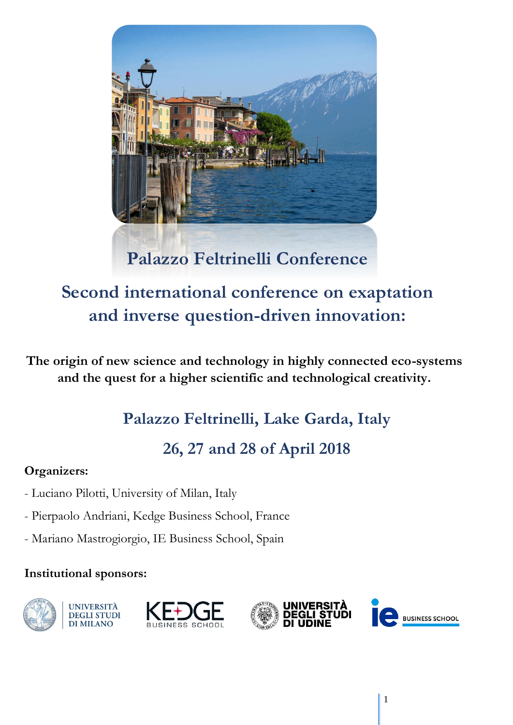

# **Second international conference on exaptation and inverse question-driven innovation:**

**The origin of new science and technology in highly connected eco-systems and the quest for a higher scientific and technological creativity.**

# **Palazzo Feltrinelli, Lake Garda, Italy**

# **26, 27 and 28 of April 2018**

## **Organizers:**

- Luciano Pilotti, University of Milan, Italy
- Pierpaolo Andriani, Kedge Business School, France
- Mariano Mastrogiorgio, IE Business School, Spain

## **Institutional sponsors:**







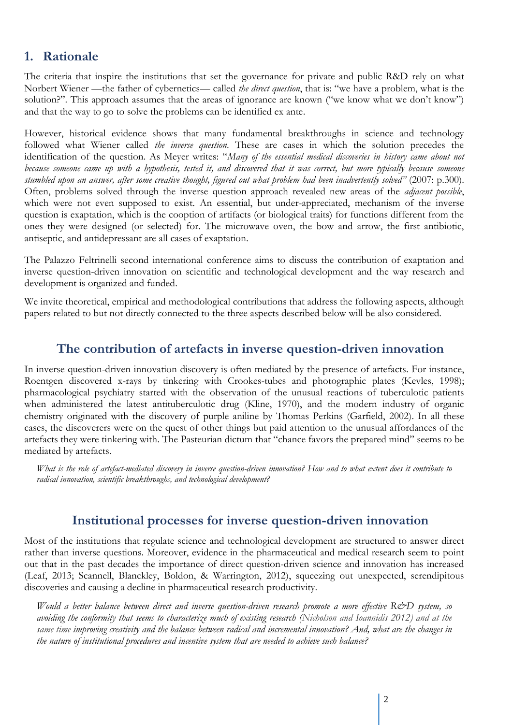### **1. Rationale**

The criteria that inspire the institutions that set the governance for private and public R&D rely on what Norbert Wiener —the father of cybernetics— called *the direct question*, that is: "we have a problem, what is the solution?". This approach assumes that the areas of ignorance are known ("we know what we don't know") and that the way to go to solve the problems can be identified ex ante.

However, historical evidence shows that many fundamental breakthroughs in science and technology followed what Wiener called *the inverse question*. These are cases in which the solution precedes the identification of the question. As Meyer writes: "*Many of the essential medical discoveries in history came about not because someone came up with a hypothesis, tested it, and discovered that it was correct, but more typically because someone*  stumbled upon an answer, after some creative thought, figured out what problem had been inadvertently solved" (2007: p.300). Often, problems solved through the inverse question approach revealed new areas of the *adjacent possible*, which were not even supposed to exist. An essential, but under-appreciated, mechanism of the inverse question is exaptation, which is the cooption of artifacts (or biological traits) for functions different from the ones they were designed (or selected) for. The microwave oven, the bow and arrow, the first antibiotic, antiseptic, and antidepressant are all cases of exaptation.

The Palazzo Feltrinelli second international conference aims to discuss the contribution of exaptation and inverse question-driven innovation on scientific and technological development and the way research and development is organized and funded.

We invite theoretical, empirical and methodological contributions that address the following aspects, although papers related to but not directly connected to the three aspects described below will be also considered.

#### **The contribution of artefacts in inverse question-driven innovation**

In inverse question-driven innovation discovery is often mediated by the presence of artefacts. For instance, Roentgen discovered x-rays by tinkering with Crookes-tubes and photographic plates (Kevles, 1998); pharmacological psychiatry started with the observation of the unusual reactions of tuberculotic patients when administered the latest antituberculotic drug (Kline, 1970), and the modern industry of organic chemistry originated with the discovery of purple aniline by Thomas Perkins (Garfield, 2002). In all these cases, the discoverers were on the quest of other things but paid attention to the unusual affordances of the artefacts they were tinkering with. The Pasteurian dictum that "chance favors the prepared mind" seems to be mediated by artefacts.

*What is the role of artefact-mediated discovery in inverse question-driven innovation? How and to what extent does it contribute to radical innovation, scientific breakthroughs, and technological development?*

### **Institutional processes for inverse question-driven innovation**

Most of the institutions that regulate science and technological development are structured to answer direct rather than inverse questions. Moreover, evidence in the pharmaceutical and medical research seem to point out that in the past decades the importance of direct question-driven science and innovation has increased (Leaf, 2013; Scannell, Blanckley, Boldon, & Warrington, 2012), squeezing out unexpected, serendipitous discoveries and causing a decline in pharmaceutical research productivity.

*Would a better balance between direct and inverse question-driven research promote a more effective R&D system, so avoiding the conformity that seems to characterize much of existing research (Nicholson and Ioannidis 2012) and at the same time improving creativity and the balance between radical and incremental innovation? And, what are the changes in the nature of institutional procedures and incentive system that are needed to achieve such balance?*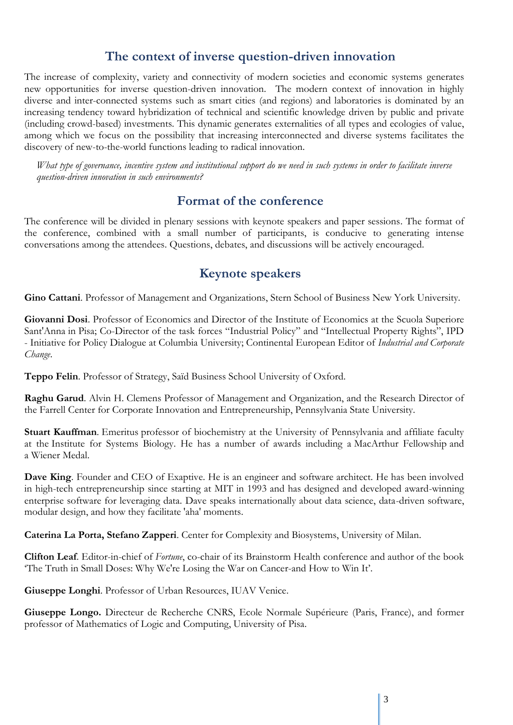### **The context of inverse question-driven innovation**

The increase of complexity, variety and connectivity of modern societies and economic systems generates new opportunities for inverse question-driven innovation. The modern context of innovation in highly diverse and inter-connected systems such as smart cities (and regions) and laboratories is dominated by an increasing tendency toward hybridization of technical and scientific knowledge driven by public and private (including crowd-based) investments. This dynamic generates externalities of all types and ecologies of value, among which we focus on the possibility that increasing interconnected and diverse systems facilitates the discovery of new-to-the-world functions leading to radical innovation.

*What type of governance, incentive system and institutional support do we need in such systems in order to facilitate inverse question-driven innovation in such environments?* 

### **Format of the conference**

The conference will be divided in plenary sessions with keynote speakers and paper sessions. The format of the conference, combined with a small number of participants, is conducive to generating intense conversations among the attendees. Questions, debates, and discussions will be actively encouraged.

### **Keynote speakers**

**Gino Cattani**. Professor of Management and Organizations, Stern School of Business New York University.

**Giovanni Dosi**. Professor of Economics and Director of the Institute of Economics at the [Scuola Superiore](https://en.wikipedia.org/wiki/Sant%27Anna_School_of_Advanced_Studies)  [Sant'Anna](https://en.wikipedia.org/wiki/Sant%27Anna_School_of_Advanced_Studies) in [Pisa;](https://en.wikipedia.org/wiki/Pisa) Co-Director of the task forces "Industrial Policy" and "Intellectual Property Rights", IPD - [Initiative for Policy Dialogue](http://policydialogue.org/) at Columbia University; Continental European Editor of *Industrial and Corporate Change*.

**Teppo Felin**. Professor of Strategy, Saïd Business School University of Oxford.

**Raghu Garud**. Alvin H. Clemens Professor of Management and Organization, and the Research Director of the Farrell Center for Corporate Innovation and Entrepreneurship, Pennsylvania State University.

**Stuart Kauffman**. [Emeritus](https://en.wikipedia.org/wiki/Emeritus) professor of biochemistry at the University of Pennsylvania and affiliate faculty at the [Institute for Systems Biology.](https://en.wikipedia.org/wiki/Institute_for_Systems_Biology) He has a number of awards including a [MacArthur Fellowship](https://en.wikipedia.org/wiki/MacArthur_Fellowship) and a [Wiener Medal.](https://en.wikipedia.org/wiki/American_Society_for_Cybernetics#Wiener_and_McCulloch_awards)

**Dave King**. Founder and CEO of Exaptive. He is an engineer and software architect. He has been involved in high-tech entrepreneurship since starting at MIT in 1993 and has designed and developed award-winning enterprise software for leveraging data. Dave speaks internationally about data science, data-driven software, modular design, and how they facilitate 'aha' moments.

**Caterina La Porta, Stefano Zapperi**. Center for Complexity and Biosystems, University of Milan.

**Clifton Leaf**. Editor-in-chief of *Fortune*, co-chair of its Brainstorm Health conference and author of the book 'The Truth in Small Doses: Why We're Losing the War on Cancer-and How to Win It'.

**Giuseppe Longhi**. Professor of Urban Resources, IUAV Venice.

**Giuseppe Longo.** Directeur de Recherche CNRS, Ecole Normale Supérieure (Paris, France), and former professor of Mathematics of Logic and Computing, University of Pisa.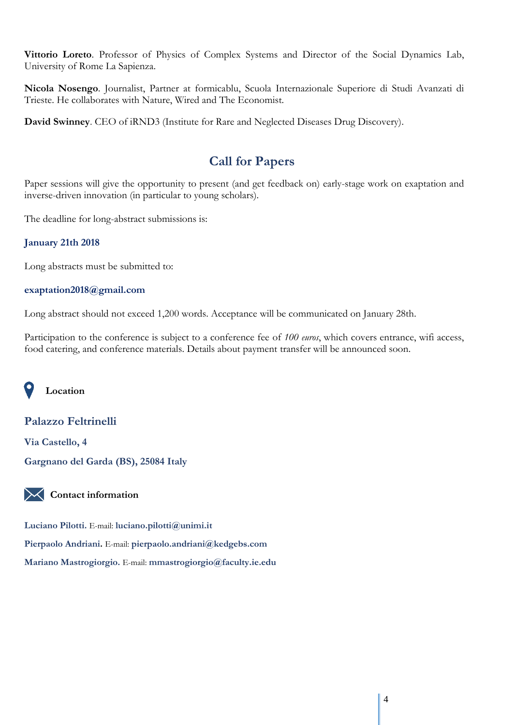**Vittorio Loreto**. Professor of Physics of Complex Systems and Director of the Social Dynamics Lab, University of Rome La Sapienza.

**Nicola Nosengo**. Journalist, Partner at formicablu, Scuola Internazionale Superiore di Studi Avanzati di Trieste. He collaborates with Nature, Wired and The Economist.

**David Swinney**. CEO of iRND3 (Institute for Rare and Neglected Diseases Drug Discovery).

### **Call for Papers**

Paper sessions will give the opportunity to present (and get feedback on) early-stage work on exaptation and inverse-driven innovation (in particular to young scholars).

The deadline for long-abstract submissions is:

#### **January 21th 2018**

Long abstracts must be submitted to:

#### **exaptation2018@gmail.com**

Long abstract should not exceed 1,200 words. Acceptance will be communicated on January 28th.

Participation to the conference is subject to a conference fee of *100 euros*, which covers entrance, wifi access, food catering, and conference materials. Details about payment transfer will be announced soon.

**Location**

#### **Palazzo Feltrinelli**

**Via Castello, 4 Gargnano del Garda (BS), 25084 Italy**

**Contact information**

**Luciano Pilotti.** E-mail: **luciano.pilotti@unimi.it Pierpaolo Andriani.** E-mail: **[pierpaolo.andriani@kedgebs.com](mailto:pierpaolo.andriani@kedgebs.com) Mariano Mastrogiorgio.** E-mail: **[mmastrogiorgio@faculty.ie.edu](mailto:mmastrogiorgio@faculty.ie.edu)**